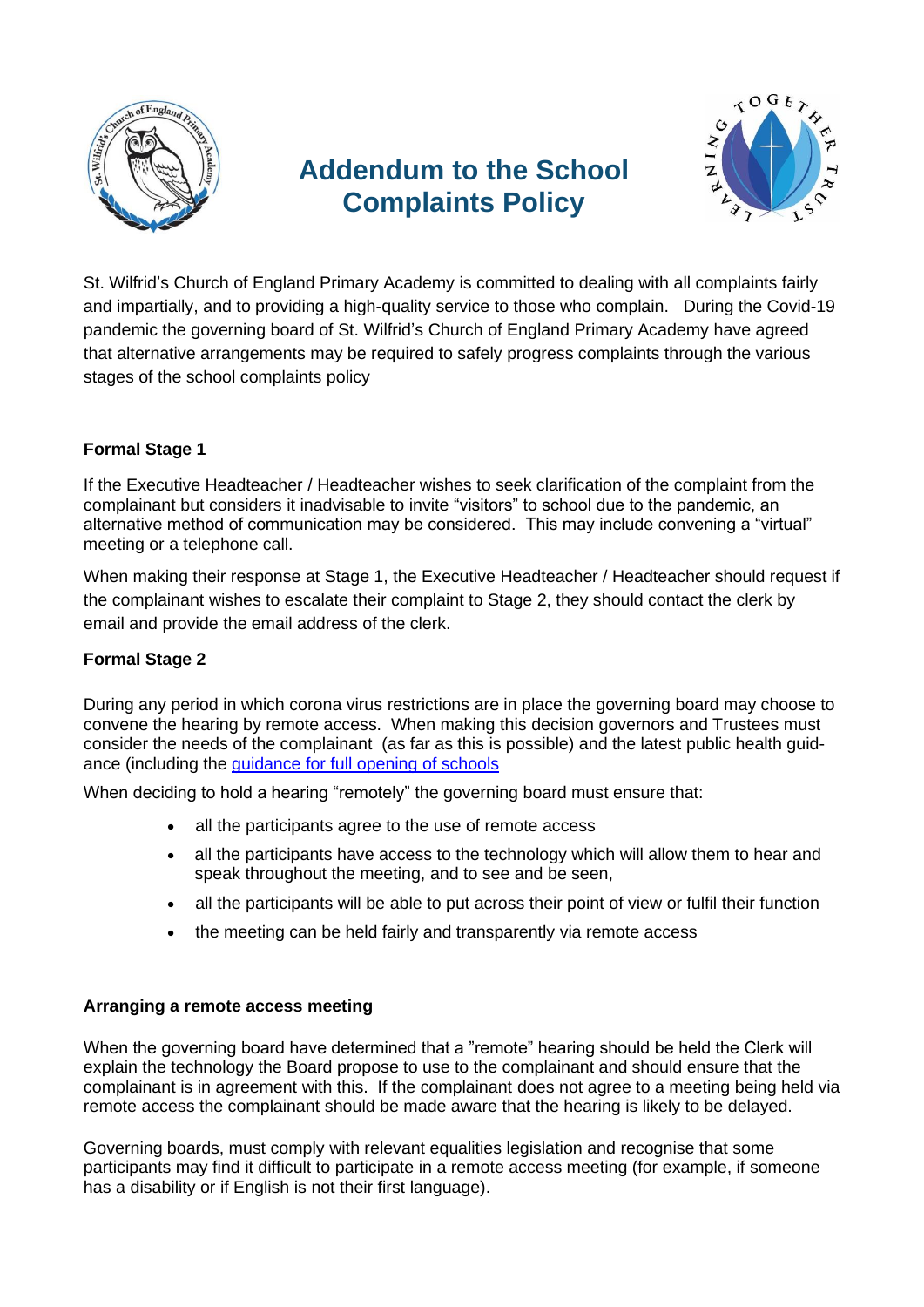

# **Addendum to the School Complaints Policy**



St. Wilfrid's Church of England Primary Academy is committed to dealing with all complaints fairly and impartially, and to providing a high-quality service to those who complain. During the Covid-19 pandemic the governing board of St. Wilfrid's Church of England Primary Academy have agreed that alternative arrangements may be required to safely progress complaints through the various stages of the school complaints policy

## **Formal Stage 1**

If the Executive Headteacher / Headteacher wishes to seek clarification of the complaint from the complainant but considers it inadvisable to invite "visitors" to school due to the pandemic, an alternative method of communication may be considered. This may include convening a "virtual" meeting or a telephone call.

When making their response at Stage 1, the Executive Headteacher / Headteacher should request if the complainant wishes to escalate their complaint to Stage 2, they should contact the clerk by email and provide the email address of the clerk.

### **Formal Stage 2**

During any period in which corona virus restrictions are in place the governing board may choose to convene the hearing by remote access. When making this decision governors and Trustees must consider the needs of the complainant (as far as this is possible) and the latest public health guidance (including the [guidance for full opening of schools](https://www.gov.uk/government/publications/actions-for-schools-during-the-coronavirus-outbreak/guidance-for-full-opening-schools)

When deciding to hold a hearing "remotely" the governing board must ensure that:

- all the participants agree to the use of remote access
- all the participants have access to the technology which will allow them to hear and speak throughout the meeting, and to see and be seen,
- all the participants will be able to put across their point of view or fulfil their function
- the meeting can be held fairly and transparently via remote access

### **Arranging a remote access meeting**

When the governing board have determined that a "remote" hearing should be held the Clerk will explain the technology the Board propose to use to the complainant and should ensure that the complainant is in agreement with this. If the complainant does not agree to a meeting being held via remote access the complainant should be made aware that the hearing is likely to be delayed.

Governing boards, must comply with relevant equalities legislation and recognise that some participants may find it difficult to participate in a remote access meeting (for example, if someone has a disability or if English is not their first language).